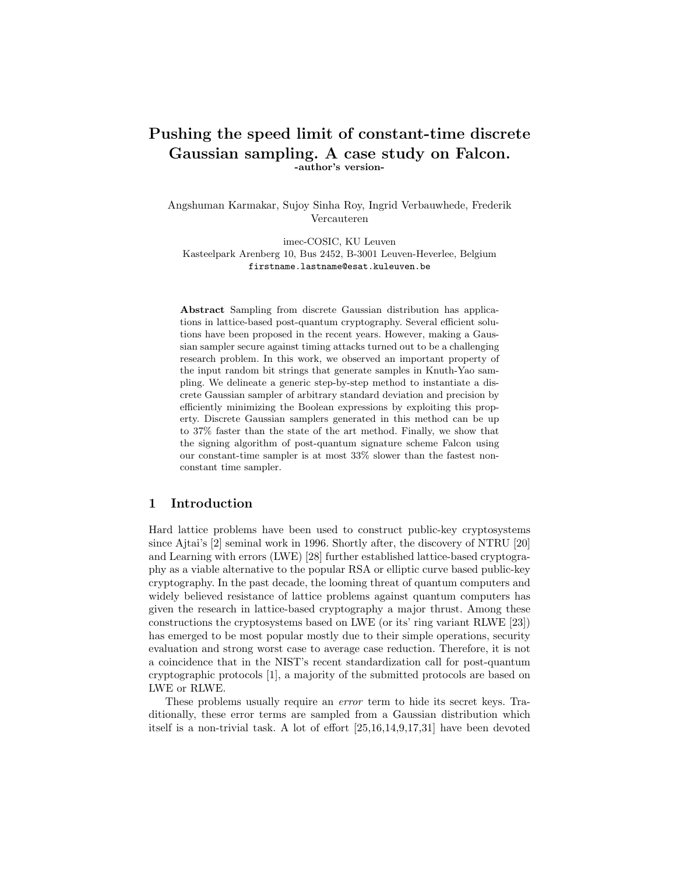# Pushing the speed limit of constant-time discrete Gaussian sampling. A case study on Falcon. -author's version-

Angshuman Karmakar, Sujoy Sinha Roy, Ingrid Verbauwhede, Frederik Vercauteren

imec-COSIC, KU Leuven Kasteelpark Arenberg 10, Bus 2452, B-3001 Leuven-Heverlee, Belgium firstname.lastname@esat.kuleuven.be

Abstract Sampling from discrete Gaussian distribution has applications in lattice-based post-quantum cryptography. Several efficient solutions have been proposed in the recent years. However, making a Gaussian sampler secure against timing attacks turned out to be a challenging research problem. In this work, we observed an important property of the input random bit strings that generate samples in Knuth-Yao sampling. We delineate a generic step-by-step method to instantiate a discrete Gaussian sampler of arbitrary standard deviation and precision by efficiently minimizing the Boolean expressions by exploiting this property. Discrete Gaussian samplers generated in this method can be up to 37% faster than the state of the art method. Finally, we show that the signing algorithm of post-quantum signature scheme Falcon using our constant-time sampler is at most 33% slower than the fastest nonconstant time sampler.

### 1 Introduction

Hard lattice problems have been used to construct public-key cryptosystems since Ajtai's [2] seminal work in 1996. Shortly after, the discovery of NTRU [20] and Learning with errors (LWE) [28] further established lattice-based cryptography as a viable alternative to the popular RSA or elliptic curve based public-key cryptography. In the past decade, the looming threat of quantum computers and widely believed resistance of lattice problems against quantum computers has given the research in lattice-based cryptography a major thrust. Among these constructions the cryptosystems based on LWE (or its' ring variant RLWE [23]) has emerged to be most popular mostly due to their simple operations, security evaluation and strong worst case to average case reduction. Therefore, it is not a coincidence that in the NIST's recent standardization call for post-quantum cryptographic protocols [1], a majority of the submitted protocols are based on LWE or RLWE.

These problems usually require an error term to hide its secret keys. Traditionally, these error terms are sampled from a Gaussian distribution which itself is a non-trivial task. A lot of effort [25,16,14,9,17,31] have been devoted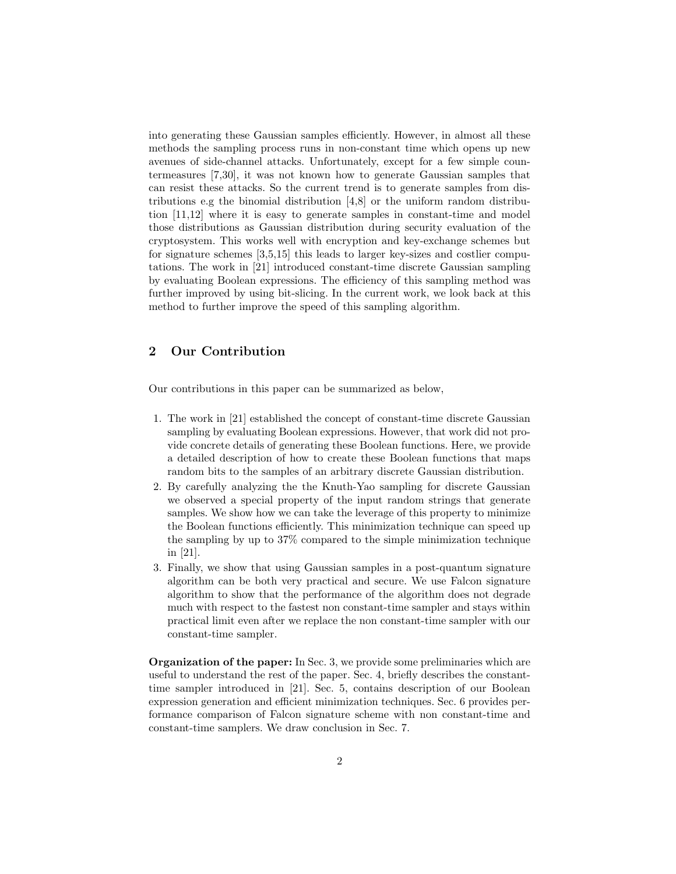into generating these Gaussian samples efficiently. However, in almost all these methods the sampling process runs in non-constant time which opens up new avenues of side-channel attacks. Unfortunately, except for a few simple countermeasures [7,30], it was not known how to generate Gaussian samples that can resist these attacks. So the current trend is to generate samples from distributions e.g the binomial distribution [4,8] or the uniform random distribution [11,12] where it is easy to generate samples in constant-time and model those distributions as Gaussian distribution during security evaluation of the cryptosystem. This works well with encryption and key-exchange schemes but for signature schemes [3,5,15] this leads to larger key-sizes and costlier computations. The work in [21] introduced constant-time discrete Gaussian sampling by evaluating Boolean expressions. The efficiency of this sampling method was further improved by using bit-slicing. In the current work, we look back at this method to further improve the speed of this sampling algorithm.

## 2 Our Contribution

Our contributions in this paper can be summarized as below,

- 1. The work in [21] established the concept of constant-time discrete Gaussian sampling by evaluating Boolean expressions. However, that work did not provide concrete details of generating these Boolean functions. Here, we provide a detailed description of how to create these Boolean functions that maps random bits to the samples of an arbitrary discrete Gaussian distribution.
- 2. By carefully analyzing the the Knuth-Yao sampling for discrete Gaussian we observed a special property of the input random strings that generate samples. We show how we can take the leverage of this property to minimize the Boolean functions efficiently. This minimization technique can speed up the sampling by up to 37% compared to the simple minimization technique in [21].
- 3. Finally, we show that using Gaussian samples in a post-quantum signature algorithm can be both very practical and secure. We use Falcon signature algorithm to show that the performance of the algorithm does not degrade much with respect to the fastest non constant-time sampler and stays within practical limit even after we replace the non constant-time sampler with our constant-time sampler.

Organization of the paper: In Sec. 3, we provide some preliminaries which are useful to understand the rest of the paper. Sec. 4, briefly describes the constanttime sampler introduced in [21]. Sec. 5, contains description of our Boolean expression generation and efficient minimization techniques. Sec. 6 provides performance comparison of Falcon signature scheme with non constant-time and constant-time samplers. We draw conclusion in Sec. 7.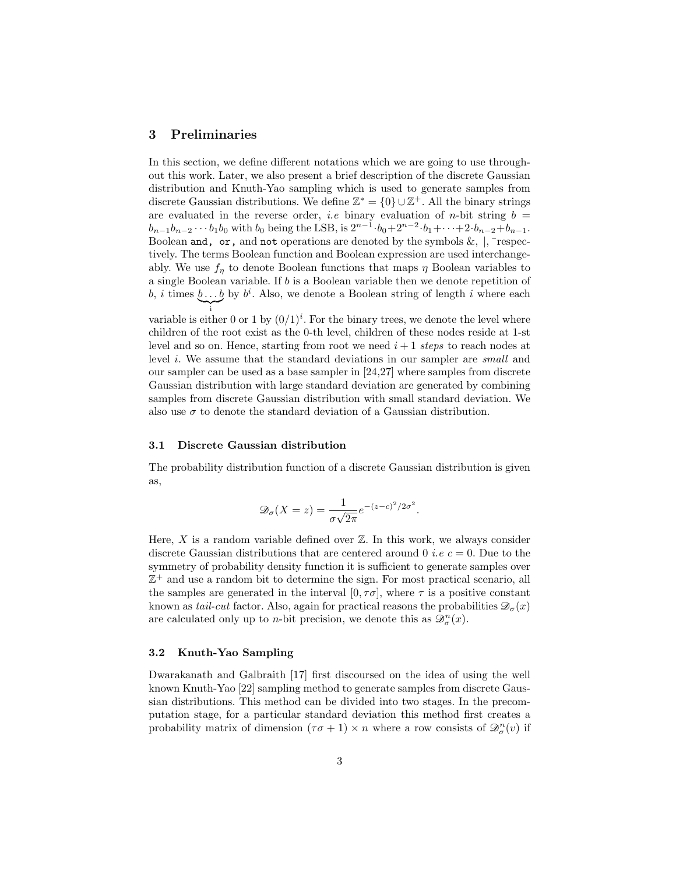#### 3 Preliminaries

In this section, we define different notations which we are going to use throughout this work. Later, we also present a brief description of the discrete Gaussian distribution and Knuth-Yao sampling which is used to generate samples from discrete Gaussian distributions. We define  $\mathbb{Z}^* = \{0\} \cup \mathbb{Z}^+$ . All the binary strings are evaluated in the reverse order, *i.e* binary evaluation of *n*-bit string  $b =$  $b_{n-1}b_{n-2}\cdots b_1b_0$  with  $b_0$  being the LSB, is  $2^{n-1}\cdot b_0+2^{n-2}\cdot b_1+\cdots+2\cdot b_{n-2}+b_{n-1}$ . Boolean and, or, and not operations are denoted by the symbols  $\&$ ,  $\vert$ ,  $\bar{\vert}$  respectively. The terms Boolean function and Boolean expression are used interchangeably. We use  $f_{\eta}$  to denote Boolean functions that maps  $\eta$  Boolean variables to a single Boolean variable. If b is a Boolean variable then we denote repetition of b, i times  $b \dots b$  by  $b^i$ . Also, we denote a Boolean string of length i where each  $\sum_{i}$ i

variable is either 0 or 1 by  $(0/1)^i$ . For the binary trees, we denote the level where children of the root exist as the 0-th level, children of these nodes reside at 1-st level and so on. Hence, starting from root we need  $i+1$  steps to reach nodes at level i. We assume that the standard deviations in our sampler are small and our sampler can be used as a base sampler in [24,27] where samples from discrete Gaussian distribution with large standard deviation are generated by combining samples from discrete Gaussian distribution with small standard deviation. We also use  $\sigma$  to denote the standard deviation of a Gaussian distribution.

#### 3.1 Discrete Gaussian distribution

The probability distribution function of a discrete Gaussian distribution is given as,

$$
\mathcal{D}_{\sigma}(X=z) = \frac{1}{\sigma\sqrt{2\pi}}e^{-(z-c)^2/2\sigma^2}.
$$

Here,  $X$  is a random variable defined over  $\mathbb{Z}$ . In this work, we always consider discrete Gaussian distributions that are centered around 0 *i.e c* = 0. Due to the symmetry of probability density function it is sufficient to generate samples over  $\mathbb{Z}^+$  and use a random bit to determine the sign. For most practical scenario, all the samples are generated in the interval  $[0, \tau \sigma]$ , where  $\tau$  is a positive constant known as tail-cut factor. Also, again for practical reasons the probabilities  $\mathcal{D}_{\sigma}(x)$ are calculated only up to *n*-bit precision, we denote this as  $\mathcal{D}_{\sigma}^{n}(x)$ .

#### 3.2 Knuth-Yao Sampling

Dwarakanath and Galbraith [17] first discoursed on the idea of using the well known Knuth-Yao [22] sampling method to generate samples from discrete Gaussian distributions. This method can be divided into two stages. In the precomputation stage, for a particular standard deviation this method first creates a probability matrix of dimension  $(\tau \sigma + 1) \times n$  where a row consists of  $\mathscr{D}_{\sigma}^{n}(v)$  if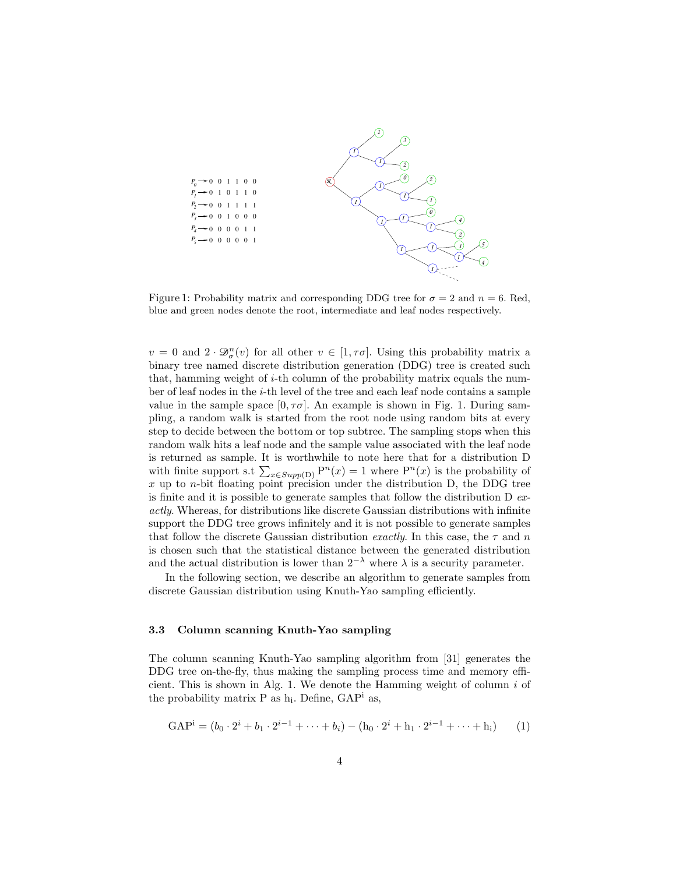

Figure 1: Probability matrix and corresponding DDG tree for  $\sigma = 2$  and  $n = 6$ . Red, blue and green nodes denote the root, intermediate and leaf nodes respectively.

 $v = 0$  and  $2 \cdot \mathcal{D}_{\sigma}^{n}(v)$  for all other  $v \in [1, \tau\sigma]$ . Using this probability matrix a binary tree named discrete distribution generation (DDG) tree is created such that, hamming weight of  $i$ -th column of the probability matrix equals the number of leaf nodes in the i-th level of the tree and each leaf node contains a sample value in the sample space  $[0, \tau \sigma]$ . An example is shown in Fig. 1. During sampling, a random walk is started from the root node using random bits at every step to decide between the bottom or top subtree. The sampling stops when this random walk hits a leaf node and the sample value associated with the leaf node is returned as sample. It is worthwhile to note here that for a distribution D with finite support s.t  $\sum_{x \in Supp(D)} P^n(x) = 1$  where  $P^n(x)$  is the probability of  $x$  up to *n*-bit floating point precision under the distribution D, the DDG tree is finite and it is possible to generate samples that follow the distribution  $D$  exactly. Whereas, for distributions like discrete Gaussian distributions with infinite support the DDG tree grows infinitely and it is not possible to generate samples that follow the discrete Gaussian distribution exactly. In this case, the  $\tau$  and n is chosen such that the statistical distance between the generated distribution and the actual distribution is lower than  $2^{-\lambda}$  where  $\lambda$  is a security parameter.

In the following section, we describe an algorithm to generate samples from discrete Gaussian distribution using Knuth-Yao sampling efficiently.

#### 3.3 Column scanning Knuth-Yao sampling

The column scanning Knuth-Yao sampling algorithm from [31] generates the DDG tree on-the-fly, thus making the sampling process time and memory efficient. This is shown in Alg. 1. We denote the Hamming weight of column  $i$  of the probability matrix  $P$  as  $h_i$ . Define,  $GAP^i$  as,

$$
GAPi = (b0 \cdot 2i + b1 \cdot 2i-1 + \dots + bi) - (h0 \cdot 2i + h1 \cdot 2i-1 + \dots + hi)
$$
 (1)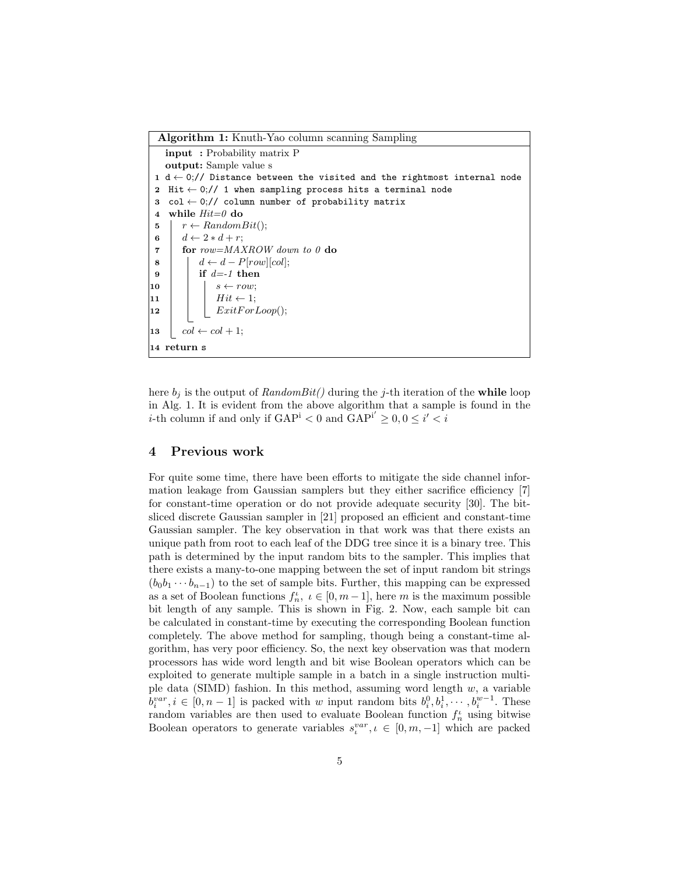Algorithm 1: Knuth-Yao column scanning Sampling input : Probability matrix P output: Sample value s 1 d  $\leftarrow$  0;// Distance between the visited and the rightmost internal node 2 Hit  $\leftarrow$  0;// 1 when sampling process hits a terminal node 3 col  $\leftarrow$  0;// column number of probability matrix 4 while  $Hit=0$  do 5  $r \leftarrow RandomBit();$ 6  $d \leftarrow 2 * d + r;$ 7 for row=MAXROW down to 0 do  $\mathbf{8}$  |  $d \leftarrow d - P[row][col];$  $9$  if  $d=-1$  then 10 | |  $s \leftarrow row;$  $\vert 11 \vert \vert \vert Hit \leftarrow 1;$ |**12** | |  $ExitForLoop();$ 13  $\vert \quad col \leftarrow col + 1;$ 14 return s

here  $b_i$  is the output of RandomBit() during the j-th iteration of the while loop in Alg. 1. It is evident from the above algorithm that a sample is found in the *i*-th column if and only if  $\text{GAP}^i < 0$  and  $\text{GAP}^{i'} \geq 0, 0 \leq i' < i$ 

#### 4 Previous work

For quite some time, there have been efforts to mitigate the side channel information leakage from Gaussian samplers but they either sacrifice efficiency [7] for constant-time operation or do not provide adequate security [30]. The bitsliced discrete Gaussian sampler in [21] proposed an efficient and constant-time Gaussian sampler. The key observation in that work was that there exists an unique path from root to each leaf of the DDG tree since it is a binary tree. This path is determined by the input random bits to the sampler. This implies that there exists a many-to-one mapping between the set of input random bit strings  $(b_0b_1 \cdots b_{n-1})$  to the set of sample bits. Further, this mapping can be expressed as a set of Boolean functions  $f_n^{\iota}$ ,  $\iota \in [0, m-1]$ , here m is the maximum possible bit length of any sample. This is shown in Fig. 2. Now, each sample bit can be calculated in constant-time by executing the corresponding Boolean function completely. The above method for sampling, though being a constant-time algorithm, has very poor efficiency. So, the next key observation was that modern processors has wide word length and bit wise Boolean operators which can be exploited to generate multiple sample in a batch in a single instruction multiple data (SIMD) fashion. In this method, assuming word length  $w$ , a variable  $b_i^{var}, i \in [0, n-1]$  is packed with w input random bits  $b_i^0, b_i^1, \dots, b_i^{w-1}$ . These random variables are then used to evaluate Boolean function  $f_n^{\iota}$  using bitwise Boolean operators to generate variables  $s_i^{var}, \iota \in [0, m, -1]$  which are packed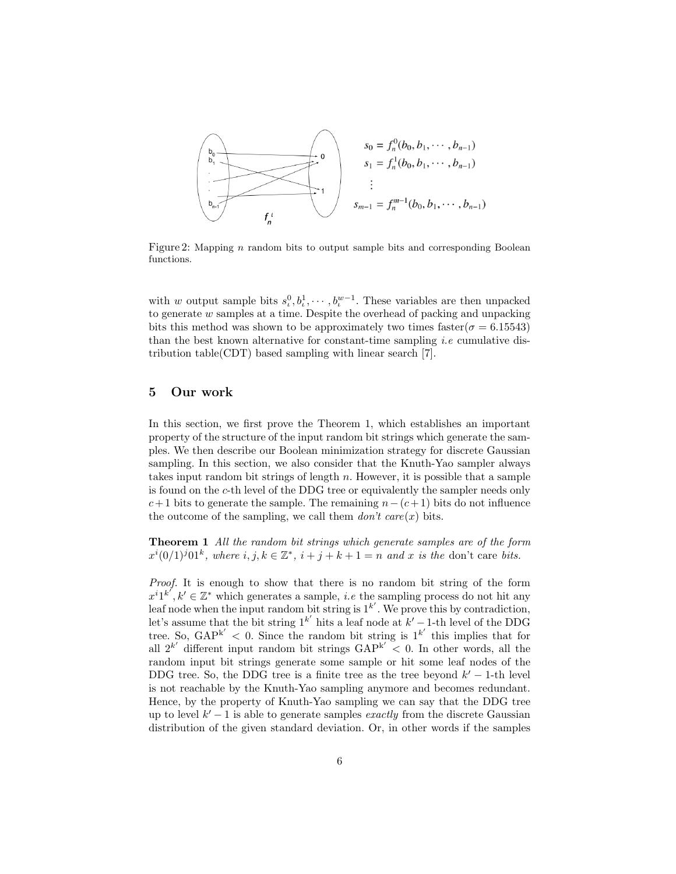

Figure 2: Mapping  $n$  random bits to output sample bits and corresponding Boolean functions.

with w output sample bits  $s_t^0, b_t^1, \dots, b_t^{w-1}$ . These variables are then unpacked to generate w samples at a time. Despite the overhead of packing and unpacking bits this method was shown to be approximately two times faster( $\sigma = 6.15543$ ) than the best known alternative for constant-time sampling *i.e* cumulative distribution table(CDT) based sampling with linear search [7].

#### 5 Our work

In this section, we first prove the Theorem 1, which establishes an important property of the structure of the input random bit strings which generate the samples. We then describe our Boolean minimization strategy for discrete Gaussian sampling. In this section, we also consider that the Knuth-Yao sampler always takes input random bit strings of length  $n$ . However, it is possible that a sample is found on the c-th level of the DDG tree or equivalently the sampler needs only  $c+1$  bits to generate the sample. The remaining  $n-(c+1)$  bits do not influence the outcome of the sampling, we call them  $don't$  care $(x)$  bits.

Theorem 1 All the random bit strings which generate samples are of the form  $x^{i}(0/1)^{j}01^{k}$ , where  $i, j, k \in \mathbb{Z}^{*}$ ,  $i + j + k + 1 = n$  and x is the don't care bits.

Proof. It is enough to show that there is no random bit string of the form  $x^{i}1^{k'}, k' \in \mathbb{Z}^*$  which generates a sample, *i.e* the sampling process do not hit any leaf node when the input random bit string is  $1^{k'}$ . We prove this by contradiction, let's assume that the bit string  $1^{k'}$  hits a leaf node at  $k'-1$ -th level of the DDG tree. So,  $\text{GAP}^{k'} < 0$ . Since the random bit string is  $1^{k'}$  this implies that for all  $2^{k'}$  different input random bit strings  $\text{GAP}^{k'} < 0$ . In other words, all the random input bit strings generate some sample or hit some leaf nodes of the DDG tree. So, the DDG tree is a finite tree as the tree beyond  $k' - 1$ -th level is not reachable by the Knuth-Yao sampling anymore and becomes redundant. Hence, by the property of Knuth-Yao sampling we can say that the DDG tree up to level  $k'-1$  is able to generate samples *exactly* from the discrete Gaussian distribution of the given standard deviation. Or, in other words if the samples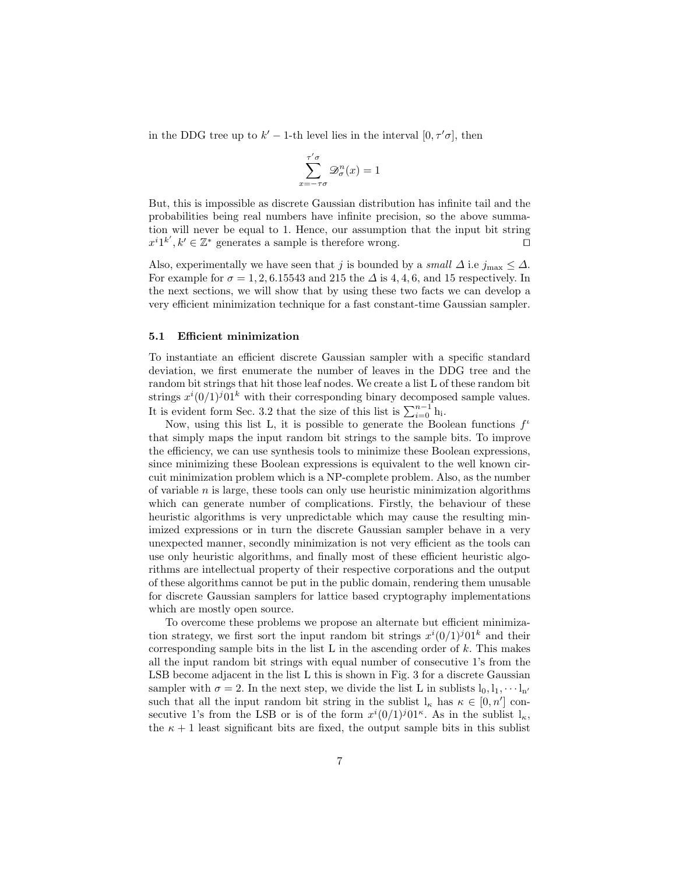in the DDG tree up to  $k'-1$ -th level lies in the interval  $[0, \tau'\sigma]$ , then

$$
\sum_{x=-\tau\sigma}^{\tau'\sigma} \mathcal{D}_{\sigma}^{n}(x) = 1
$$

But, this is impossible as discrete Gaussian distribution has infinite tail and the probabilities being real numbers have infinite precision, so the above summation will never be equal to 1. Hence, our assumption that the input bit string  $x^{i}1^{k'}, k' \in \mathbb{Z}^*$  generates a sample is therefore wrong.

Also, experimentally we have seen that j is bounded by a small  $\Delta$  i.e j<sub>max</sub>  $\leq \Delta$ . For example for  $\sigma = 1, 2, 6.15543$  and 215 the  $\Delta$  is 4, 4, 6, and 15 respectively. In the next sections, we will show that by using these two facts we can develop a very efficient minimization technique for a fast constant-time Gaussian sampler.

#### 5.1 Efficient minimization

To instantiate an efficient discrete Gaussian sampler with a specific standard deviation, we first enumerate the number of leaves in the DDG tree and the random bit strings that hit those leaf nodes. We create a list L of these random bit strings  $x^i(0/1)^j01^k$  with their corresponding binary decomposed sample values. It is evident form Sec. 3.2 that the size of this list is  $\sum_{i=0}^{n-1}$  h<sub>i</sub>.

Now, using this list L, it is possible to generate the Boolean functions  $f^{\iota}$ that simply maps the input random bit strings to the sample bits. To improve the efficiency, we can use synthesis tools to minimize these Boolean expressions, since minimizing these Boolean expressions is equivalent to the well known circuit minimization problem which is a NP-complete problem. Also, as the number of variable  $n$  is large, these tools can only use heuristic minimization algorithms which can generate number of complications. Firstly, the behaviour of these heuristic algorithms is very unpredictable which may cause the resulting minimized expressions or in turn the discrete Gaussian sampler behave in a very unexpected manner, secondly minimization is not very efficient as the tools can use only heuristic algorithms, and finally most of these efficient heuristic algorithms are intellectual property of their respective corporations and the output of these algorithms cannot be put in the public domain, rendering them unusable for discrete Gaussian samplers for lattice based cryptography implementations which are mostly open source.

To overcome these problems we propose an alternate but efficient minimization strategy, we first sort the input random bit strings  $x^{i}(0/1)^{j}01^{k}$  and their corresponding sample bits in the list  $L$  in the ascending order of  $k$ . This makes all the input random bit strings with equal number of consecutive 1's from the LSB become adjacent in the list L this is shown in Fig. 3 for a discrete Gaussian sampler with  $\sigma = 2$ . In the next step, we divide the list L in sublists  $l_0, l_1, \cdots l_{n'}$ such that all the input random bit string in the sublist  $l_{\kappa}$  has  $\kappa \in [0, n']$  consecutive 1's from the LSB or is of the form  $x^i(0/1)^j01^{\kappa}$ . As in the sublist  $l_{\kappa}$ , the  $\kappa + 1$  least significant bits are fixed, the output sample bits in this sublist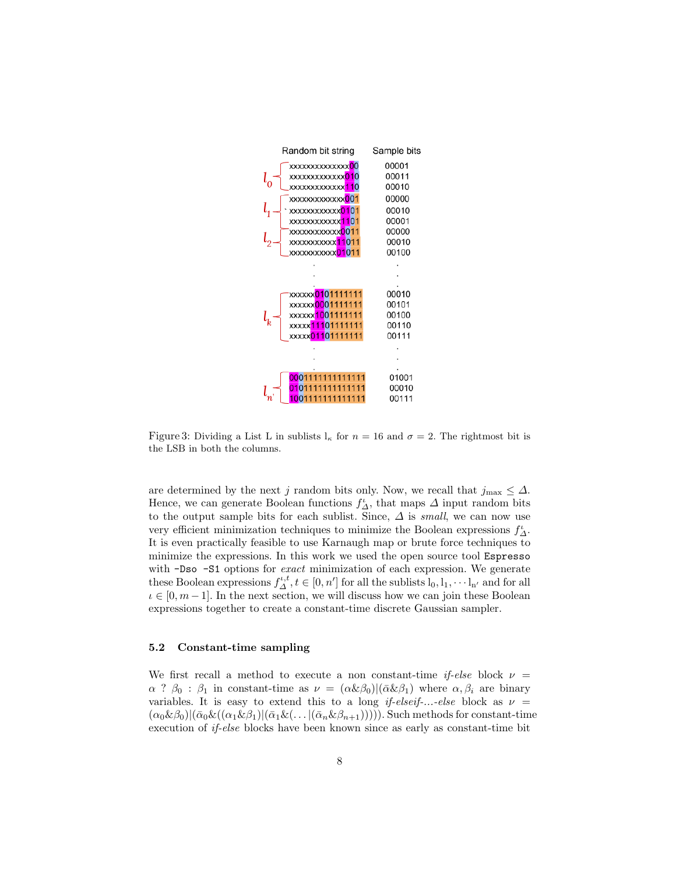

Figure 3: Dividing a List L in sublists  $l_{\kappa}$  for  $n = 16$  and  $\sigma = 2$ . The rightmost bit is the LSB in both the columns.

are determined by the next j random bits only. Now, we recall that  $j_{\text{max}} \leq \Delta$ . Hence, we can generate Boolean functions  $f^{\iota}_{\Delta}$ , that maps  $\Delta$  input random bits to the output sample bits for each sublist. Since,  $\Delta$  is small, we can now use very efficient minimization techniques to minimize the Boolean expressions  $f^{\iota}_{\Delta}.$ It is even practically feasible to use Karnaugh map or brute force techniques to minimize the expressions. In this work we used the open source tool Espresso with -Dso -S1 options for *exact* minimization of each expression. We generate these Boolean expressions  $f_{\Delta}^{t,t}, t \in [0, n']$  for all the sublists  $l_0, l_1, \dots l_{n'}$  and for all  $i \in [0, m-1]$ . In the next section, we will discuss how we can join these Boolean expressions together to create a constant-time discrete Gaussian sampler.

### 5.2 Constant-time sampling

We first recall a method to execute a non constant-time *if-else* block  $\nu =$  $\alpha$  ?  $\beta_0$  :  $\beta_1$  in constant-time as  $\nu = (\alpha \& \beta_0)|(\bar{\alpha} \& \beta_1)$  where  $\alpha, \beta_i$  are binary variables. It is easy to extend this to a long if-elseif-...-else block as  $\nu =$  $(\alpha_0 \& \beta_0)|(\bar{\alpha}_0 \& ((\alpha_1 \& \beta_1)|(\bar{\alpha}_1 \& (\dots |(\bar{\alpha}_n \& \beta_{n+1}))))).$  Such methods for constant-time execution of if-else blocks have been known since as early as constant-time bit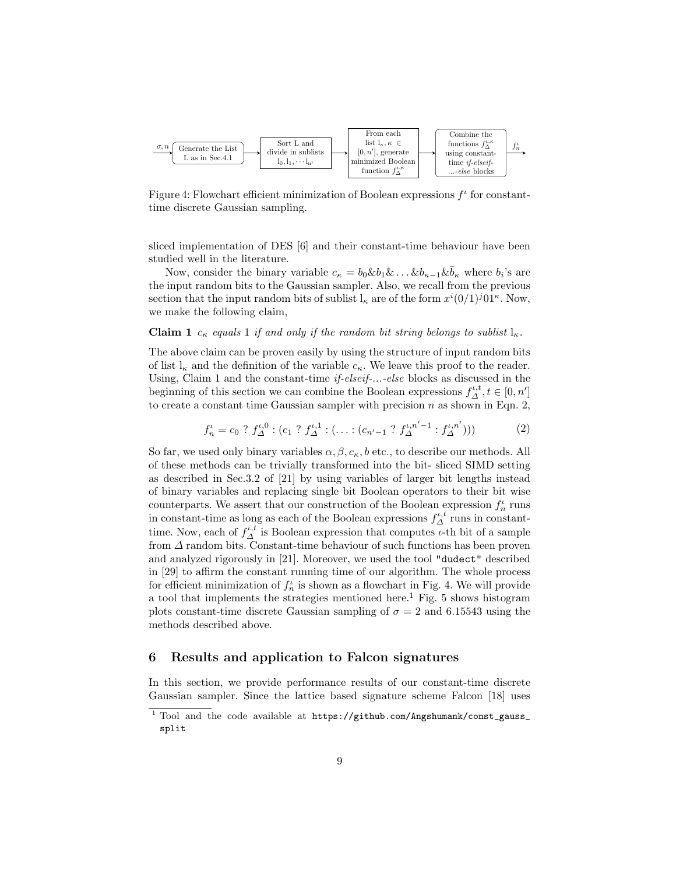

Figure 4: Flowchart efficient minimization of Boolean expressions  $f^{\iota}$  for constanttime discrete Gaussian sampling.

sliced implementation of DES [6] and their constant-time behaviour have been studied well in the literature.

Now, consider the binary variable  $c_{\kappa} = b_0 \& b_1 \& \dots \& b_{\kappa-1} \& \bar{b}_{\kappa}$  where  $b_i$ 's are the input random bits to the Gaussian sampler. Also, we recall from the previous section that the input random bits of sublist  $l_{\kappa}$  are of the form  $x^{i}(0/1)^{j}01^{\kappa}$ . Now, we make the following claim,

## **Claim 1**  $c_{\kappa}$  equals 1 if and only if the random bit string belongs to sublist  $l_{\kappa}$ .

The above claim can be proven easily by using the structure of input random bits of list  $l_{\kappa}$  and the definition of the variable  $c_{\kappa}$ . We leave this proof to the reader. Using, Claim 1 and the constant-time *if-elseif-...-else* blocks as discussed in the beginning of this section we can combine the Boolean expressions  $f_{\Delta}^{\iota,t}, t \in [0, n']$ to create a constant time Gaussian sampler with precision  $n$  as shown in Eqn. 2,

$$
f_n^{\iota} = c_0 ? f_{\Delta}^{\iota,0} : (c_1 ? f_{\Delta}^{\iota,1} : (\dots : (c_{n'-1} ? f_{\Delta}^{\iota,n'-1} : f_{\Delta}^{\iota,n'})))
$$
(2)

So far, we used only binary variables  $\alpha, \beta, c_{\kappa}, b$  etc., to describe our methods. All of these methods can be trivially transformed into the bit- sliced SIMD setting as described in Sec.3.2 of [21] by using variables of larger bit lengths instead of binary variables and replacing single bit Boolean operators to their bit wise counterparts. We assert that our construction of the Boolean expression  $f_n^{\iota}$  runs in constant-time as long as each of the Boolean expressions  $f_{\Delta}^{\iota,t}$  runs in constanttime. Now, each of  $f_{\Delta}^{\iota,t}$  is Boolean expression that computes  $\iota$ -th bit of a sample from  $\Delta$  random bits. Constant-time behaviour of such functions has been proven and analyzed rigorously in [21]. Moreover, we used the tool "dudect" described in [29] to affirm the constant running time of our algorithm. The whole process for efficient minimization of  $f_n^{\iota}$  is shown as a flowchart in Fig. 4. We will provide a tool that implements the strategies mentioned here.<sup>1</sup> Fig. 5 shows histogram plots constant-time discrete Gaussian sampling of  $\sigma = 2$  and 6.15543 using the methods described above.

#### 6 Results and application to Falcon signatures

In this section, we provide performance results of our constant-time discrete Gaussian sampler. Since the lattice based signature scheme Falcon [18] uses

<sup>&</sup>lt;sup>1</sup> Tool and the code available at https://github.com/Angshumank/const\_gauss\_ split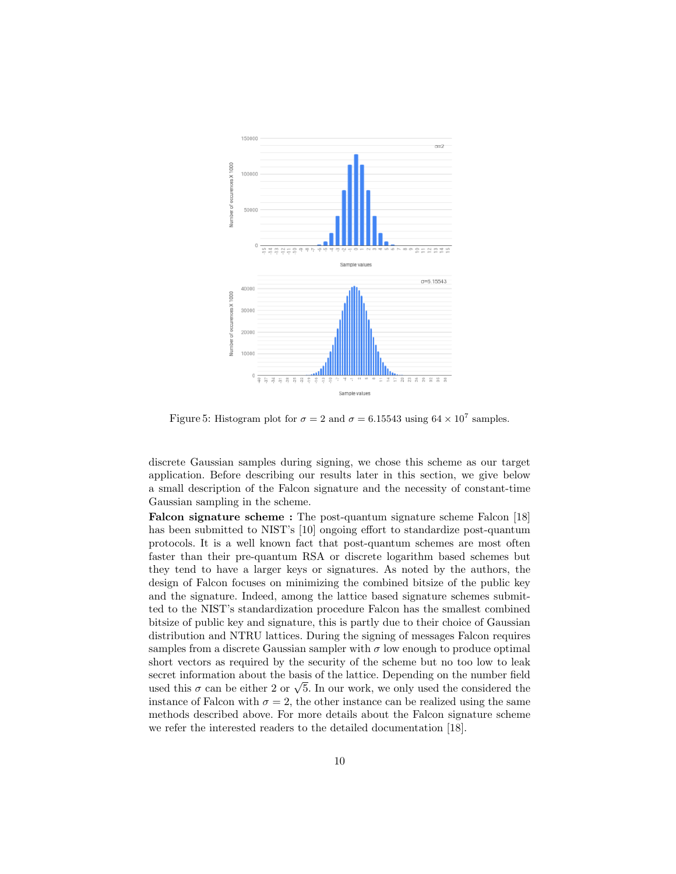

Figure 5: Histogram plot for  $\sigma = 2$  and  $\sigma = 6.15543$  using  $64 \times 10^7$  samples.

discrete Gaussian samples during signing, we chose this scheme as our target application. Before describing our results later in this section, we give below a small description of the Falcon signature and the necessity of constant-time Gaussian sampling in the scheme.

Falcon signature scheme : The post-quantum signature scheme Falcon [18] has been submitted to NIST's [10] ongoing effort to standardize post-quantum protocols. It is a well known fact that post-quantum schemes are most often faster than their pre-quantum RSA or discrete logarithm based schemes but they tend to have a larger keys or signatures. As noted by the authors, the design of Falcon focuses on minimizing the combined bitsize of the public key and the signature. Indeed, among the lattice based signature schemes submitted to the NIST's standardization procedure Falcon has the smallest combined bitsize of public key and signature, this is partly due to their choice of Gaussian distribution and NTRU lattices. During the signing of messages Falcon requires samples from a discrete Gaussian sampler with  $\sigma$  low enough to produce optimal short vectors as required by the security of the scheme but no too low to leak secret information about the basis of the lattice. Depending on the number field used this  $\sigma$  can be either 2 or  $\sqrt{5}$ . In our work, we only used the considered the instance of Falcon with  $\sigma = 2$ , the other instance can be realized using the same methods described above. For more details about the Falcon signature scheme we refer the interested readers to the detailed documentation [18].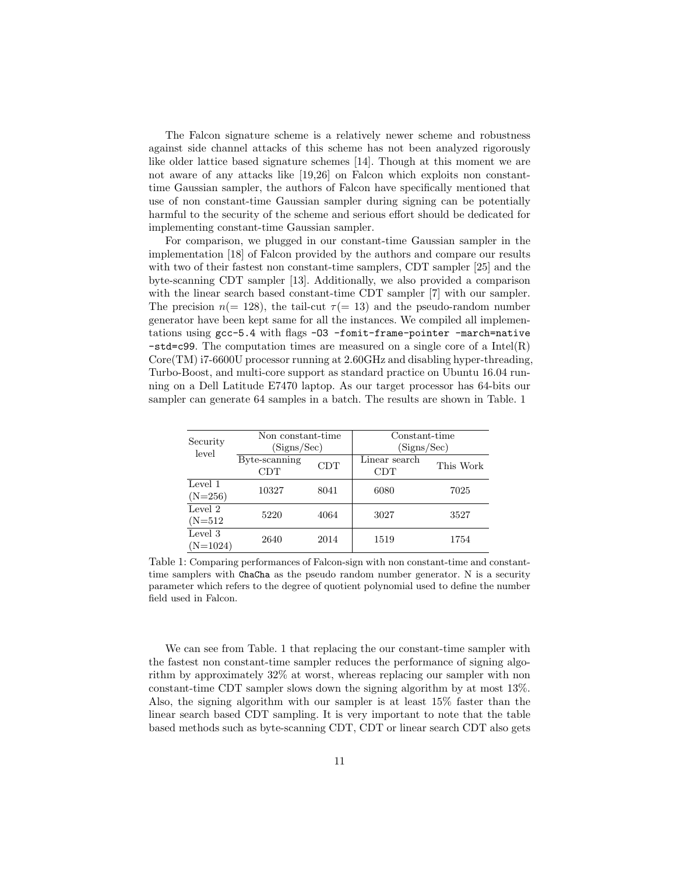The Falcon signature scheme is a relatively newer scheme and robustness against side channel attacks of this scheme has not been analyzed rigorously like older lattice based signature schemes [14]. Though at this moment we are not aware of any attacks like [19,26] on Falcon which exploits non constanttime Gaussian sampler, the authors of Falcon have specifically mentioned that use of non constant-time Gaussian sampler during signing can be potentially harmful to the security of the scheme and serious effort should be dedicated for implementing constant-time Gaussian sampler.

For comparison, we plugged in our constant-time Gaussian sampler in the implementation [18] of Falcon provided by the authors and compare our results with two of their fastest non constant-time samplers, CDT sampler [25] and the byte-scanning CDT sampler [13]. Additionally, we also provided a comparison with the linear search based constant-time CDT sampler [7] with our sampler. The precision  $n(= 128)$ , the tail-cut  $\tau(= 13)$  and the pseudo-random number generator have been kept same for all the instances. We compiled all implementations using gcc-5.4 with flags -O3 -fomit-frame-pointer -march=native  $-std = c99$ . The computation times are measured on a single core of a Intel(R) Core(TM) i7-6600U processor running at 2.60GHz and disabling hyper-threading, Turbo-Boost, and multi-core support as standard practice on Ubuntu 16.04 running on a Dell Latitude E7470 laptop. As our target processor has 64-bits our sampler can generate 64 samples in a batch. The results are shown in Table. 1

| Security              | Non constant-time<br>(Signs/Sec) |            | Constant-time<br>(Signs/Sec) |           |
|-----------------------|----------------------------------|------------|------------------------------|-----------|
| level                 | Byte-scanning<br><b>CDT</b>      | <b>CDT</b> | Linear search<br>CDT         | This Work |
| Level 1<br>$(N=256)$  | 10327                            | 8041       | 6080                         | 7025      |
| Level 2<br>$(N=512)$  | 5220                             | 4064       | 3027                         | 3527      |
| Level 3<br>$(N=1024)$ | 2640                             | 2014       | 1519                         | 1754      |

Table 1: Comparing performances of Falcon-sign with non constant-time and constanttime samplers with ChaCha as the pseudo random number generator. N is a security parameter which refers to the degree of quotient polynomial used to define the number field used in Falcon.

We can see from Table. 1 that replacing the our constant-time sampler with the fastest non constant-time sampler reduces the performance of signing algorithm by approximately 32% at worst, whereas replacing our sampler with non constant-time CDT sampler slows down the signing algorithm by at most 13%. Also, the signing algorithm with our sampler is at least 15% faster than the linear search based CDT sampling. It is very important to note that the table based methods such as byte-scanning CDT, CDT or linear search CDT also gets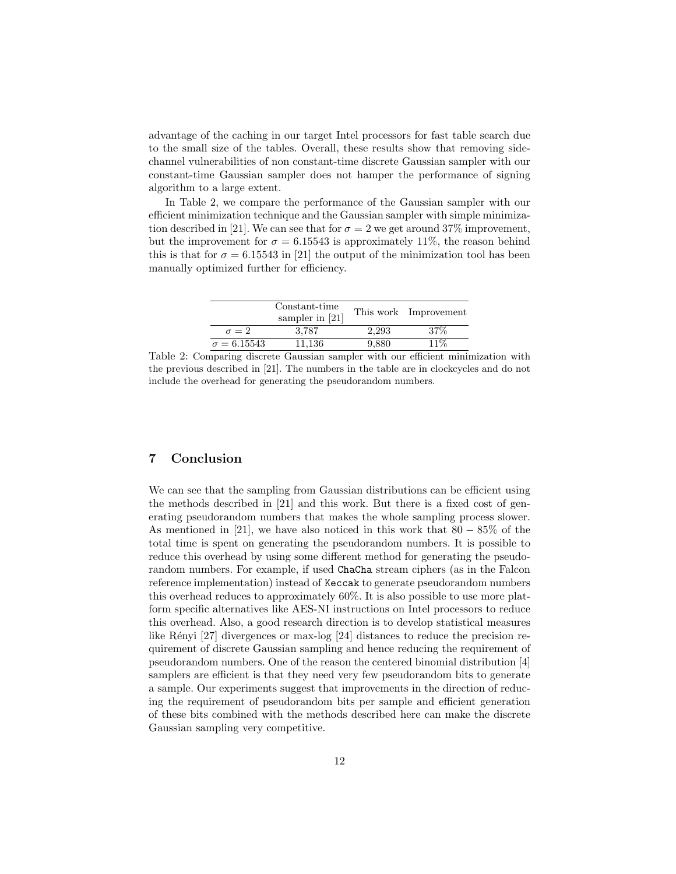advantage of the caching in our target Intel processors for fast table search due to the small size of the tables. Overall, these results show that removing sidechannel vulnerabilities of non constant-time discrete Gaussian sampler with our constant-time Gaussian sampler does not hamper the performance of signing algorithm to a large extent.

In Table 2, we compare the performance of the Gaussian sampler with our efficient minimization technique and the Gaussian sampler with simple minimization described in [21]. We can see that for  $\sigma = 2$  we get around 37% improvement, but the improvement for  $\sigma = 6.15543$  is approximately 11%, the reason behind this is that for  $\sigma = 6.15543$  in [21] the output of the minimization tool has been manually optimized further for efficiency.

|                    | Constant-time<br>sampler in $[21]$ |       | This work Improvement |
|--------------------|------------------------------------|-------|-----------------------|
| $\sigma = 2$       | 3.787                              | 2.293 | 37%                   |
| $\sigma = 6.15543$ | 11.136                             | 9.880 | 11%                   |

Table 2: Comparing discrete Gaussian sampler with our efficient minimization with the previous described in [21]. The numbers in the table are in clockcycles and do not include the overhead for generating the pseudorandom numbers.

### 7 Conclusion

We can see that the sampling from Gaussian distributions can be efficient using the methods described in [21] and this work. But there is a fixed cost of generating pseudorandom numbers that makes the whole sampling process slower. As mentioned in [21], we have also noticed in this work that  $80 - 85\%$  of the total time is spent on generating the pseudorandom numbers. It is possible to reduce this overhead by using some different method for generating the pseudorandom numbers. For example, if used ChaCha stream ciphers (as in the Falcon reference implementation) instead of Keccak to generate pseudorandom numbers this overhead reduces to approximately 60%. It is also possible to use more platform specific alternatives like AES-NI instructions on Intel processors to reduce this overhead. Also, a good research direction is to develop statistical measures like Rényi  $[27]$  divergences or max-log  $[24]$  distances to reduce the precision requirement of discrete Gaussian sampling and hence reducing the requirement of pseudorandom numbers. One of the reason the centered binomial distribution [4] samplers are efficient is that they need very few pseudorandom bits to generate a sample. Our experiments suggest that improvements in the direction of reducing the requirement of pseudorandom bits per sample and efficient generation of these bits combined with the methods described here can make the discrete Gaussian sampling very competitive.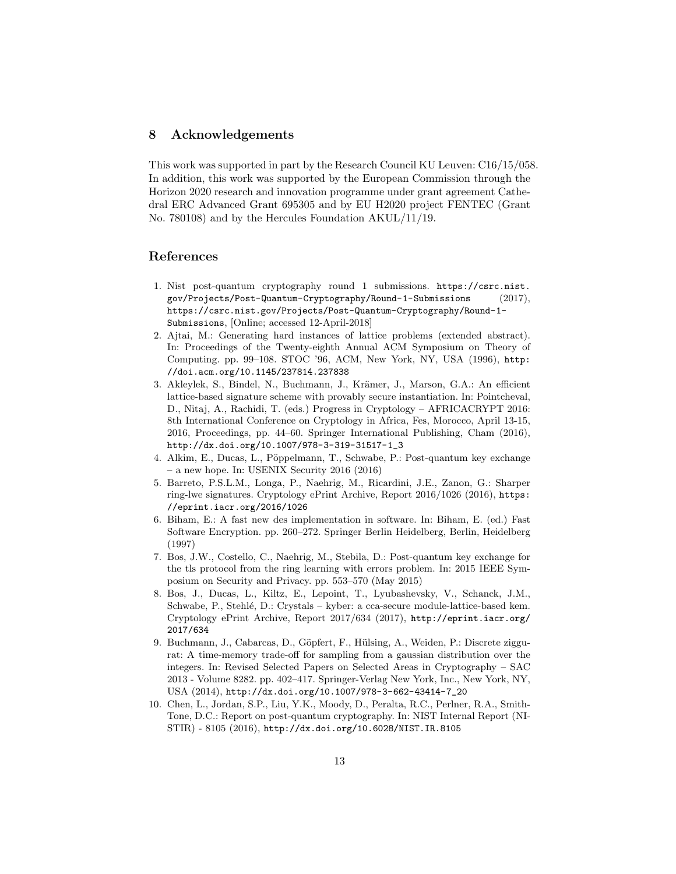### 8 Acknowledgements

This work was supported in part by the Research Council KU Leuven: C16/15/058. In addition, this work was supported by the European Commission through the Horizon 2020 research and innovation programme under grant agreement Cathedral ERC Advanced Grant 695305 and by EU H2020 project FENTEC (Grant No. 780108) and by the Hercules Foundation AKUL/11/19.

#### References

- 1. Nist post-quantum cryptography round 1 submissions. https://csrc.nist. gov/Projects/Post-Quantum-Cryptography/Round-1-Submissions (2017), https://csrc.nist.gov/Projects/Post-Quantum-Cryptography/Round-1- Submissions, [Online; accessed 12-April-2018]
- 2. Ajtai, M.: Generating hard instances of lattice problems (extended abstract). In: Proceedings of the Twenty-eighth Annual ACM Symposium on Theory of Computing. pp. 99–108. STOC '96, ACM, New York, NY, USA (1996), http: //doi.acm.org/10.1145/237814.237838
- 3. Akleylek, S., Bindel, N., Buchmann, J., Krämer, J., Marson, G.A.: An efficient lattice-based signature scheme with provably secure instantiation. In: Pointcheval, D., Nitaj, A., Rachidi, T. (eds.) Progress in Cryptology – AFRICACRYPT 2016: 8th International Conference on Cryptology in Africa, Fes, Morocco, April 13-15, 2016, Proceedings, pp. 44–60. Springer International Publishing, Cham (2016), http://dx.doi.org/10.1007/978-3-319-31517-1\_3
- 4. Alkim, E., Ducas, L., Pöppelmann, T., Schwabe, P.: Post-quantum key exchange – a new hope. In: USENIX Security 2016 (2016)
- 5. Barreto, P.S.L.M., Longa, P., Naehrig, M., Ricardini, J.E., Zanon, G.: Sharper ring-lwe signatures. Cryptology ePrint Archive, Report 2016/1026 (2016), https: //eprint.iacr.org/2016/1026
- 6. Biham, E.: A fast new des implementation in software. In: Biham, E. (ed.) Fast Software Encryption. pp. 260–272. Springer Berlin Heidelberg, Berlin, Heidelberg (1997)
- 7. Bos, J.W., Costello, C., Naehrig, M., Stebila, D.: Post-quantum key exchange for the tls protocol from the ring learning with errors problem. In: 2015 IEEE Symposium on Security and Privacy. pp. 553–570 (May 2015)
- 8. Bos, J., Ducas, L., Kiltz, E., Lepoint, T., Lyubashevsky, V., Schanck, J.M., Schwabe, P., Stehlé, D.: Crystals – kyber: a cca-secure module-lattice-based kem. Cryptology ePrint Archive, Report 2017/634 (2017), http://eprint.iacr.org/ 2017/634
- 9. Buchmann, J., Cabarcas, D., Göpfert, F., Hülsing, A., Weiden, P.: Discrete ziggurat: A time-memory trade-off for sampling from a gaussian distribution over the integers. In: Revised Selected Papers on Selected Areas in Cryptography – SAC 2013 - Volume 8282. pp. 402–417. Springer-Verlag New York, Inc., New York, NY, USA (2014), http://dx.doi.org/10.1007/978-3-662-43414-7\_20
- 10. Chen, L., Jordan, S.P., Liu, Y.K., Moody, D., Peralta, R.C., Perlner, R.A., Smith-Tone, D.C.: Report on post-quantum cryptography. In: NIST Internal Report (NI-STIR) - 8105 (2016), http://dx.doi.org/10.6028/NIST.IR.8105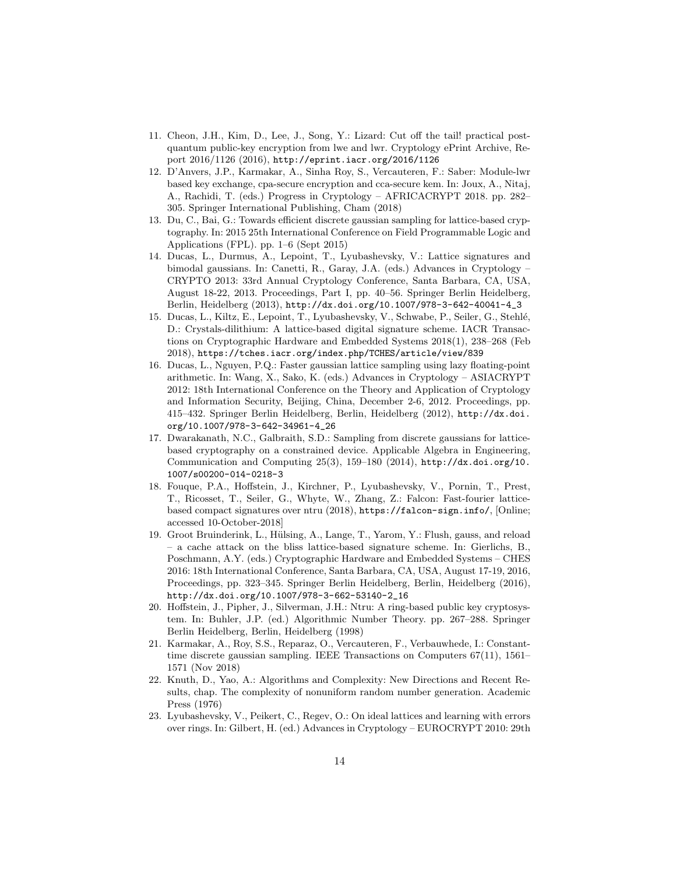- 11. Cheon, J.H., Kim, D., Lee, J., Song, Y.: Lizard: Cut off the tail! practical postquantum public-key encryption from lwe and lwr. Cryptology ePrint Archive, Report 2016/1126 (2016), http://eprint.iacr.org/2016/1126
- 12. D'Anvers, J.P., Karmakar, A., Sinha Roy, S., Vercauteren, F.: Saber: Module-lwr based key exchange, cpa-secure encryption and cca-secure kem. In: Joux, A., Nitaj, A., Rachidi, T. (eds.) Progress in Cryptology – AFRICACRYPT 2018. pp. 282– 305. Springer International Publishing, Cham (2018)
- 13. Du, C., Bai, G.: Towards efficient discrete gaussian sampling for lattice-based cryptography. In: 2015 25th International Conference on Field Programmable Logic and Applications (FPL). pp. 1–6 (Sept 2015)
- 14. Ducas, L., Durmus, A., Lepoint, T., Lyubashevsky, V.: Lattice signatures and bimodal gaussians. In: Canetti, R., Garay, J.A. (eds.) Advances in Cryptology – CRYPTO 2013: 33rd Annual Cryptology Conference, Santa Barbara, CA, USA, August 18-22, 2013. Proceedings, Part I, pp. 40–56. Springer Berlin Heidelberg, Berlin, Heidelberg (2013), http://dx.doi.org/10.1007/978-3-642-40041-4\_3
- 15. Ducas, L., Kiltz, E., Lepoint, T., Lyubashevsky, V., Schwabe, P., Seiler, G., Stehl´e, D.: Crystals-dilithium: A lattice-based digital signature scheme. IACR Transactions on Cryptographic Hardware and Embedded Systems 2018(1), 238–268 (Feb 2018), https://tches.iacr.org/index.php/TCHES/article/view/839
- 16. Ducas, L., Nguyen, P.Q.: Faster gaussian lattice sampling using lazy floating-point arithmetic. In: Wang, X., Sako, K. (eds.) Advances in Cryptology – ASIACRYPT 2012: 18th International Conference on the Theory and Application of Cryptology and Information Security, Beijing, China, December 2-6, 2012. Proceedings, pp. 415–432. Springer Berlin Heidelberg, Berlin, Heidelberg (2012), http://dx.doi. org/10.1007/978-3-642-34961-4\_26
- 17. Dwarakanath, N.C., Galbraith, S.D.: Sampling from discrete gaussians for latticebased cryptography on a constrained device. Applicable Algebra in Engineering, Communication and Computing 25(3), 159–180 (2014), http://dx.doi.org/10. 1007/s00200-014-0218-3
- 18. Fouque, P.A., Hoffstein, J., Kirchner, P., Lyubashevsky, V., Pornin, T., Prest, T., Ricosset, T., Seiler, G., Whyte, W., Zhang, Z.: Falcon: Fast-fourier latticebased compact signatures over ntru (2018), https://falcon-sign.info/, [Online; accessed 10-October-2018]
- 19. Groot Bruinderink, L., Hülsing, A., Lange, T., Yarom, Y.: Flush, gauss, and reload – a cache attack on the bliss lattice-based signature scheme. In: Gierlichs, B., Poschmann, A.Y. (eds.) Cryptographic Hardware and Embedded Systems – CHES 2016: 18th International Conference, Santa Barbara, CA, USA, August 17-19, 2016, Proceedings, pp. 323–345. Springer Berlin Heidelberg, Berlin, Heidelberg (2016), http://dx.doi.org/10.1007/978-3-662-53140-2\_16
- 20. Hoffstein, J., Pipher, J., Silverman, J.H.: Ntru: A ring-based public key cryptosystem. In: Buhler, J.P. (ed.) Algorithmic Number Theory. pp. 267–288. Springer Berlin Heidelberg, Berlin, Heidelberg (1998)
- 21. Karmakar, A., Roy, S.S., Reparaz, O., Vercauteren, F., Verbauwhede, I.: Constanttime discrete gaussian sampling. IEEE Transactions on Computers 67(11), 1561– 1571 (Nov 2018)
- 22. Knuth, D., Yao, A.: Algorithms and Complexity: New Directions and Recent Results, chap. The complexity of nonuniform random number generation. Academic Press (1976)
- 23. Lyubashevsky, V., Peikert, C., Regev, O.: On ideal lattices and learning with errors over rings. In: Gilbert, H. (ed.) Advances in Cryptology – EUROCRYPT 2010: 29th